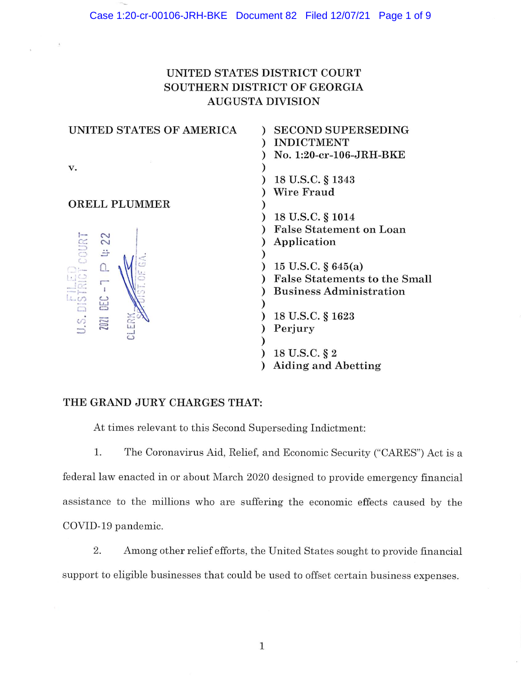# UNITED STATES DISTRICT COURT SOUTHERN DISTRICT OF GEORGIA AUGUSTA DIVISION

| UNITED STATES OF AMERICA | <b>SECOND SUPERSEDING</b>            |
|--------------------------|--------------------------------------|
|                          | <b>INDICTMENT</b>                    |
|                          | No. 1:20-cr-106-JRH-BKE              |
| v.                       |                                      |
|                          | 18 U.S.C. § 1343                     |
|                          | Wire Fraud                           |
| <b>ORELL PLUMMER</b>     |                                      |
|                          | 18 U.S.C. § 1014                     |
|                          | <b>False Statement on Loan</b>       |
| LEL COURT<br>22          | Application                          |
| 当                        |                                      |
|                          | 15 U.S.C. $\S 645(a)$                |
|                          | <b>False Statements to the Small</b> |
| $TC - 7$                 | <b>Business Administration</b>       |
|                          |                                      |
| E<br>D.S.DIST            | 18 U.S.C. § 1623                     |
| <b>2021</b><br>Œ         | Perjury                              |
| $\circ$                  |                                      |
|                          | 18 U.S.C. § 2                        |
|                          | <b>Aiding and Abetting</b>           |

# THE GRAND JURY CHARGES THAT:

At times relevant to this Second Superseding Indictment:

1. The Coronavirus Aid, Relief, and Economic Security ("CARES") Act is a federal law enacted in or about March 2020 designed to provide emergency financial assistance to the millions who are suffering the economic effects caused by the COVID-19 pandemic.

2. Among other relief efforts, the United States sought to provide financial support to eligible businesses that could be used to offset certain business expenses.

 $\mathbf 1$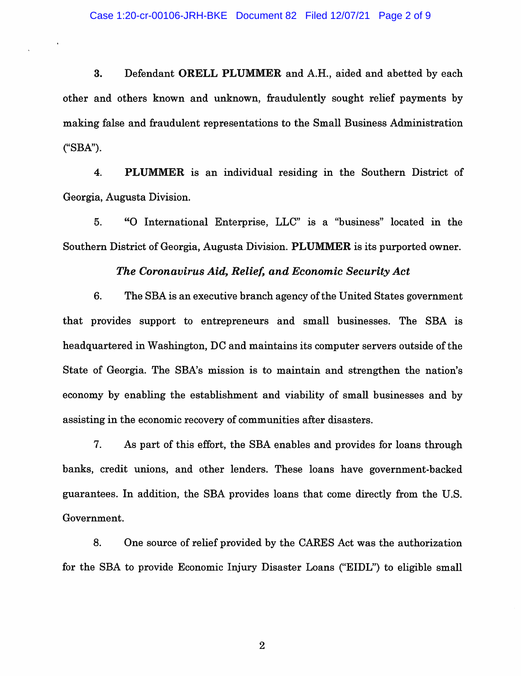3. Defendant ORELL PLUMMER and A.H., aided and abetted by each other and others known and unknown, fraudulently sought relief payments by making false and fraudulent representations to the Small Business Administration ("SBA").

 $4.$ **PLUMMER** is an individual residing in the Southern District of Georgia, Augusta Division.

5. "O International Enterprise, LLC" is a "business" located in the Southern District of Georgia, Augusta Division. PLUMMER is its purported owner.

### The Coronavirus Aid, Relief, and Economic Security Act

6. The SBA is an executive branch agency of the United States government that provides support to entrepreneurs and small businesses. The SBA is headquartered in Washington, DC and maintains its computer servers outside of the State of Georgia. The SBA's mission is to maintain and strengthen the nation's economy by enabling the establishment and viability of small businesses and by assisting in the economic recovery of communities after disasters.

7. As part of this effort, the SBA enables and provides for loans through banks, credit unions, and other lenders. These loans have government-backed guarantees. In addition, the SBA provides loans that come directly from the U.S. Government.

8. One source of relief provided by the CARES Act was the authorization for the SBA to provide Economic Injury Disaster Loans ("EIDL") to eligible small

 $\overline{2}$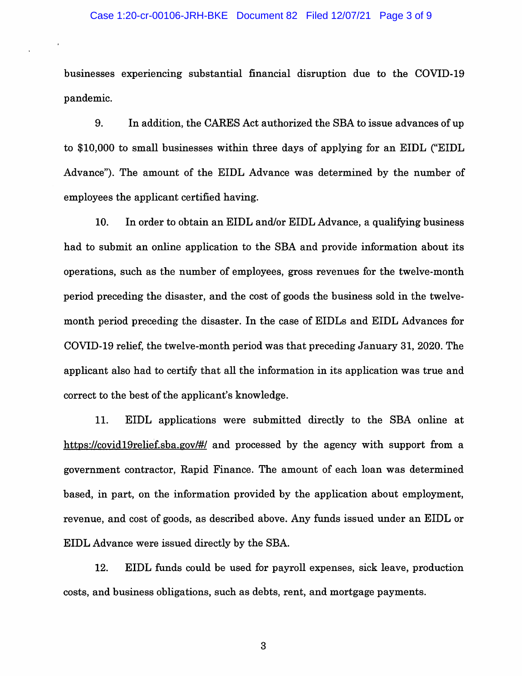#### Case 1:20-cr-00106-JRH-BKE Document 82 Filed 12/07/21 Page 3 of 9

businesses experiencing substantial financial disruption due to the COVID-19 pandemic.

9. In addition, the CARES Act authorized the SBA to issue advances of up to \$10,000 to small businesses within three days of applying for an EIDL ("EIDL" Advance"). The amount of the EIDL Advance was determined by the number of employees the applicant certified having.

10. In order to obtain an EIDL and/or EIDL Advance, a qualifying business had to submit an online application to the SBA and provide information about its operations, such as the number of employees, gross revenues for the twelve-month period preceding the disaster, and the cost of goods the business sold in the twelvemonth period preceding the disaster. In the case of EIDLs and EIDL Advances for COVID-19 relief, the twelve-month period was that preceding January 31, 2020. The applicant also had to certify that all the information in its application was true and correct to the best of the applicant's knowledge.

EIDL applications were submitted directly to the SBA online at 11. https://covid19relief.sba.gov/#/ and processed by the agency with support from a government contractor, Rapid Finance. The amount of each loan was determined based, in part, on the information provided by the application about employment, revenue, and cost of goods, as described above. Any funds issued under an EIDL or EIDL Advance were issued directly by the SBA.

12. EIDL funds could be used for payroll expenses, sick leave, production costs, and business obligations, such as debts, rent, and mortgage payments.

3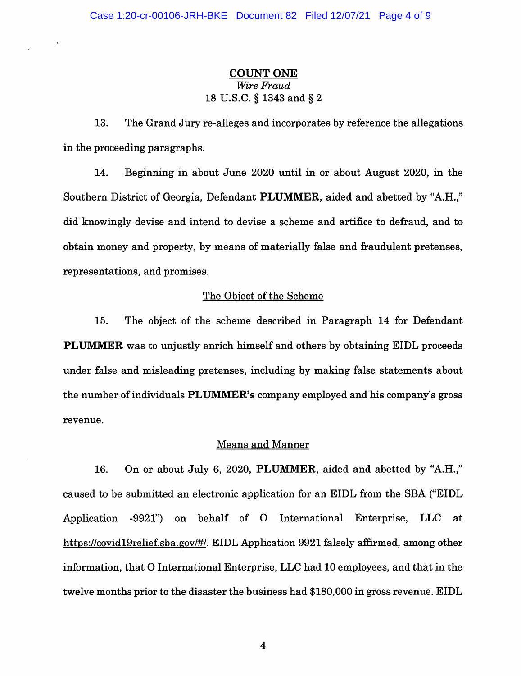# **COUNT ONE** Wire Fraud 18 U.S.C. § 1343 and § 2

13. The Grand Jury re-alleges and incorporates by reference the allegations in the proceeding paragraphs.

14. Beginning in about June 2020 until in or about August 2020, in the Southern District of Georgia, Defendant PLUMMER, aided and abetted by "A.H.," did knowingly devise and intend to devise a scheme and artifice to defraud, and to obtain money and property, by means of materially false and fraudulent pretenses, representations, and promises.

### The Object of the Scheme

15. The object of the scheme described in Paragraph 14 for Defendant **PLUMMER** was to unjustly enrich himself and others by obtaining EIDL proceeds under false and misleading pretenses, including by making false statements about the number of individuals PLUMMER's company employed and his company's gross revenue.

#### **Means and Manner**

16. On or about July 6, 2020, PLUMMER, aided and abetted by "A.H.," caused to be submitted an electronic application for an EIDL from the SBA ("EIDL" Application -9921") on behalf of O International Enterprise, LLC at https://covid19relief.sba.gov/#/. EIDL Application 9921 falsely affirmed, among other information, that O International Enterprise, LLC had 10 employees, and that in the twelve months prior to the disaster the business had \$180,000 in gross revenue. EIDL

 $\overline{\mathbf{4}}$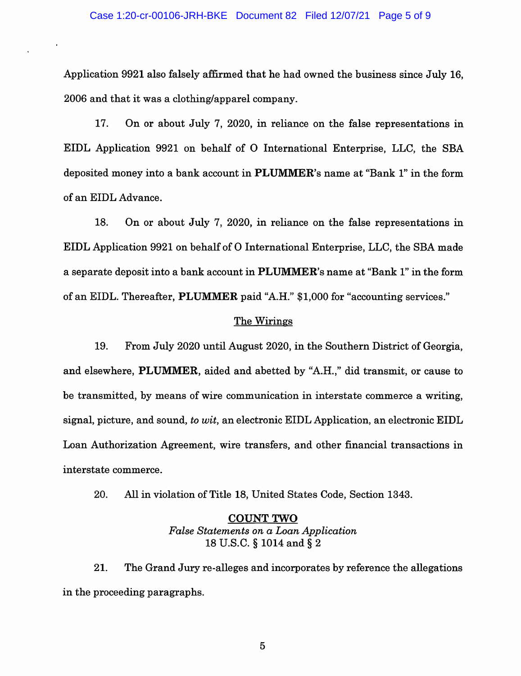Application 9921 also falsely affirmed that he had owned the business since July 16. 2006 and that it was a clothing/apparel company.

17. On or about July 7, 2020, in reliance on the false representations in EIDL Application 9921 on behalf of O International Enterprise, LLC, the SBA deposited money into a bank account in PLUMMER's name at "Bank 1" in the form of an EIDL Advance.

18. On or about July 7, 2020, in reliance on the false representations in EIDL Application 9921 on behalf of O International Enterprise, LLC, the SBA made a separate deposit into a bank account in **PLUMMER**'s name at "Bank 1" in the form of an EIDL. Thereafter, PLUMMER paid "A.H." \$1,000 for "accounting services."

#### The Wirings

19. From July 2020 until August 2020, in the Southern District of Georgia, and elsewhere, PLUMMER, aided and abetted by "A.H.," did transmit, or cause to be transmitted, by means of wire communication in interstate commerce a writing, signal, picture, and sound, to wit, an electronic EIDL Application, an electronic EIDL Loan Authorization Agreement, wire transfers, and other financial transactions in interstate commerce.

20. All in violation of Title 18, United States Code, Section 1343.

# **COUNT TWO** False Statements on a Loan Application 18 U.S.C. § 1014 and § 2

21. The Grand Jury re-alleges and incorporates by reference the allegations in the proceeding paragraphs.

 $\overline{5}$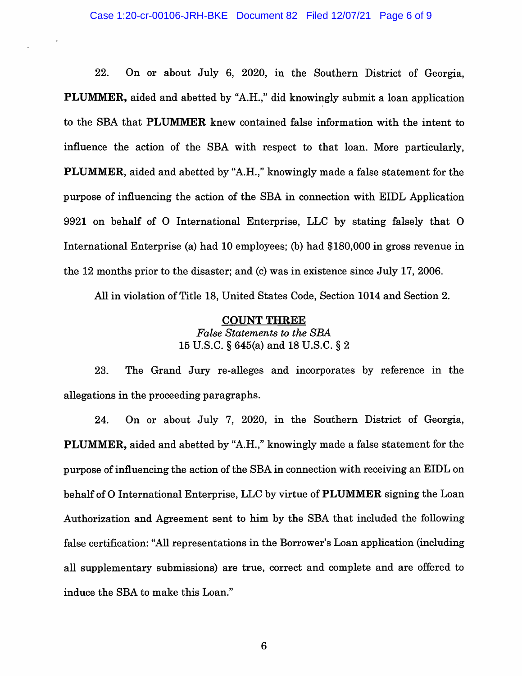22. On or about July 6, 2020, in the Southern District of Georgia, **PLUMMER**, aided and abetted by "A.H.," did knowingly submit a loan application to the SBA that PLUMMER knew contained false information with the intent to influence the action of the SBA with respect to that loan. More particularly, **PLUMMER**, aided and abetted by "A.H.," knowingly made a false statement for the purpose of influencing the action of the SBA in connection with EIDL Application 9921 on behalf of O International Enterprise, LLC by stating falsely that O International Enterprise (a) had 10 employees; (b) had \$180,000 in gross revenue in the 12 months prior to the disaster; and (c) was in existence since July 17, 2006.

All in violation of Title 18, United States Code, Section 1014 and Section 2.

#### **COUNT THREE**

**False Statements to the SBA** 15 U.S.C. § 645(a) and 18 U.S.C. § 2

23. The Grand Jury re-alleges and incorporates by reference in the allegations in the proceeding paragraphs.

24. On or about July 7, 2020, in the Southern District of Georgia, **PLUMMER**, aided and abetted by "A.H.," knowingly made a false statement for the purpose of influencing the action of the SBA in connection with receiving an EIDL on behalf of O International Enterprise, LLC by virtue of **PLUMMER** signing the Loan Authorization and Agreement sent to him by the SBA that included the following false certification: "All representations in the Borrower's Loan application (including all supplementary submissions) are true, correct and complete and are offered to induce the SBA to make this Loan."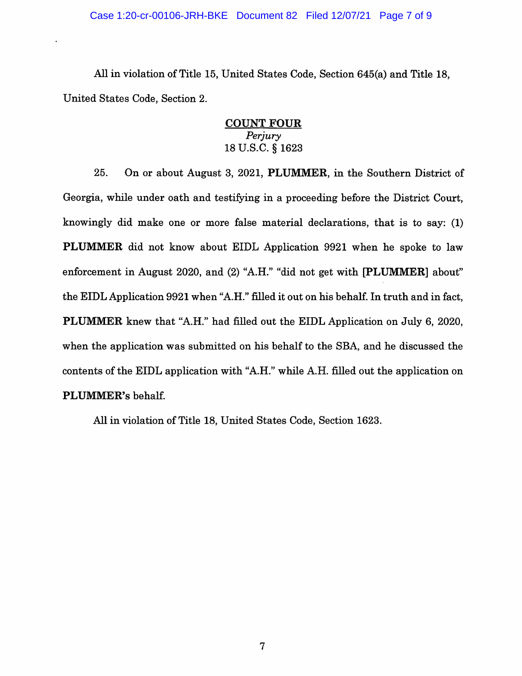#### Case 1:20-cr-00106-JRH-BKE Document 82 Filed 12/07/21 Page 7 of 9

All in violation of Title 15, United States Code, Section 645(a) and Title 18, United States Code, Section 2.

## **COUNT FOUR** Perjury 18 U.S.C. § 1623

25. On or about August 3, 2021, PLUMMER, in the Southern District of Georgia, while under oath and testifying in a proceeding before the District Court. knowingly did make one or more false material declarations, that is to say: (1) **PLUMMER** did not know about EIDL Application 9921 when he spoke to law enforcement in August 2020, and (2) "A.H." "did not get with [PLUMMER] about" the EIDL Application 9921 when "A.H." filled it out on his behalf. In truth and in fact, **PLUMMER** knew that "A.H." had filled out the EIDL Application on July 6, 2020, when the application was submitted on his behalf to the SBA, and he discussed the contents of the EIDL application with "A.H." while A.H. filled out the application on PLUMMER's behalf.

All in violation of Title 18, United States Code, Section 1623.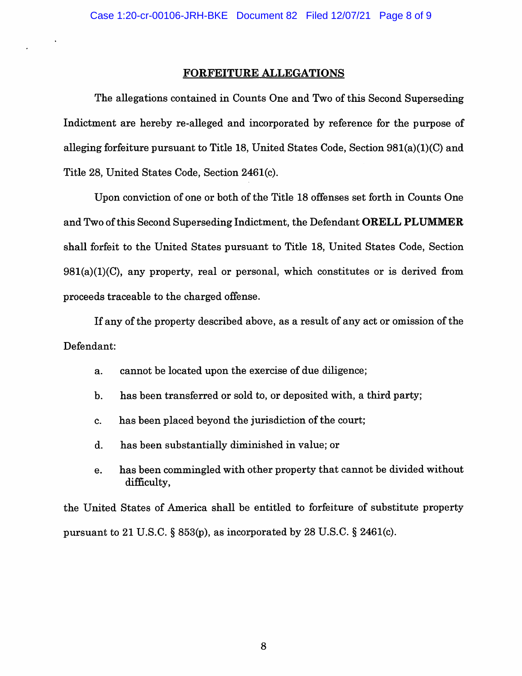#### **FORFEITURE ALLEGATIONS**

The allegations contained in Counts One and Two of this Second Superseding Indictment are hereby re-alleged and incorporated by reference for the purpose of alleging forfeiture pursuant to Title 18, United States Code, Section  $981(a)(1)(C)$  and Title 28, United States Code, Section 2461(c).

Upon conviction of one or both of the Title 18 offenses set forth in Counts One and Two of this Second Superseding Indictment, the Defendant ORELL PLUMMER shall forfeit to the United States pursuant to Title 18, United States Code, Section  $981(a)(1)(C)$ , any property, real or personal, which constitutes or is derived from proceeds traceable to the charged offense.

If any of the property described above, as a result of any act or omission of the Defendant:

- cannot be located upon the exercise of due diligence; a.
- has been transferred or sold to, or deposited with, a third party; b.
- $\mathbf{c}$ . has been placed beyond the jurisdiction of the court;
- has been substantially diminished in value; or d.
- has been commingled with other property that cannot be divided without e. difficulty,

the United States of America shall be entitled to forfeiture of substitute property pursuant to 21 U.S.C. § 853(p), as incorporated by 28 U.S.C. § 2461(c).